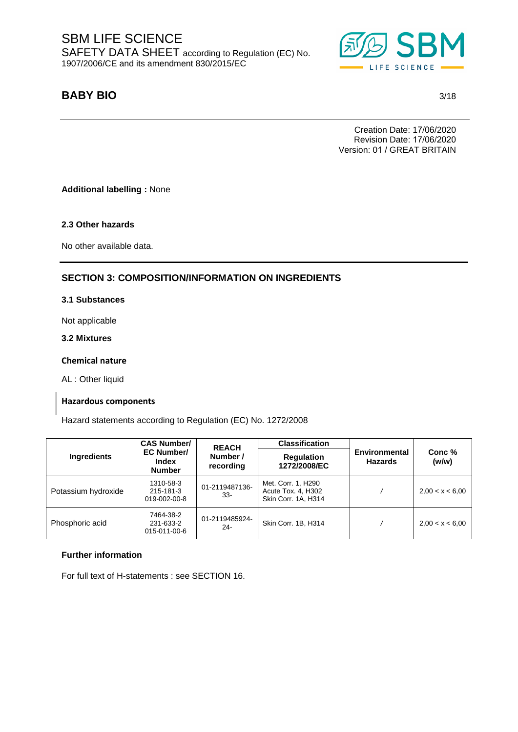

# **BABY BIO \$86)(('** 3/18

Creation Date: 17/06/2020 Revision Date: 17/06/2020 Version: 01 / GREAT BRITAIN

**Additional labelling :** None

**2.3 Other hazards**

No other available data.

## **SECTION 3: COMPOSITION/INFORMATION ON INGREDIENTS**

### **3.1 Substances**

Not applicable

**3.2 Mixtures**

#### **Chemical nature**

AL : Other liquid

#### **Hazardous components**

Hazard statements according to Regulation (EC) No. 1272/2008

|                     | <b>CAS Number/</b>                          |                                       | <b>Classification</b>                                           |                                        |                 |
|---------------------|---------------------------------------------|---------------------------------------|-----------------------------------------------------------------|----------------------------------------|-----------------|
| Ingredients         | <b>EC Number/</b><br>Index<br><b>Number</b> | <b>REACH</b><br>Number /<br>recording | <b>Regulation</b><br>1272/2008/EC                               | <b>Environmental</b><br><b>Hazards</b> | Conc %<br>(w/w) |
| Potassium hydroxide | 1310-58-3<br>215-181-3<br>019-002-00-8      | 01-2119487136-<br>33-                 | Met. Corr. 1, H290<br>Acute Tox. 4, H302<br>Skin Corr. 1A, H314 |                                        | 2,00 < x < 6,00 |
| Phosphoric acid     | 7464-38-2<br>231-633-2<br>015-011-00-6      | 01-2119485924-<br>24-                 | Skin Corr. 1B, H314                                             |                                        | 2,00 < x < 6,00 |

#### **Further information**

For full text of H-statements : see SECTION 16.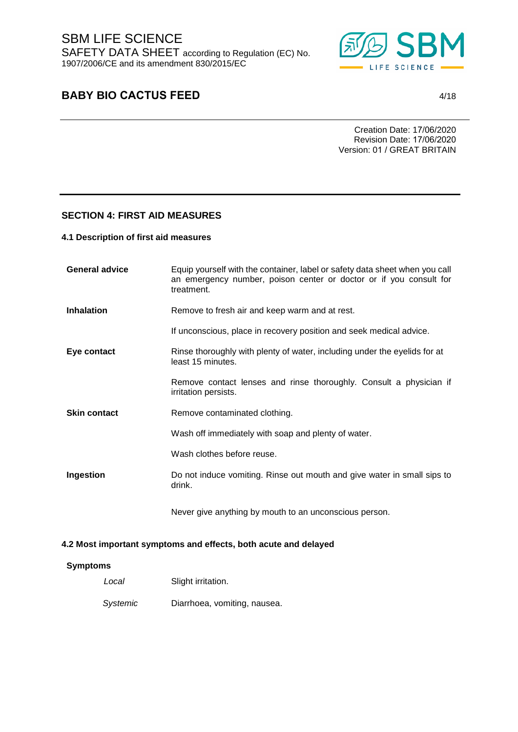

# **BABY BIO CACTUS FEED** 4/18

Creation Date: 17/06/2020 Revision Date: 17/06/2020 Version: 01 / GREAT BRITAIN

### **SECTION 4: FIRST AID MEASURES**

#### **4.1 Description of first aid measures**

| <b>General advice</b> | Equip yourself with the container, label or safety data sheet when you call<br>an emergency number, poison center or doctor or if you consult for<br>treatment. |
|-----------------------|-----------------------------------------------------------------------------------------------------------------------------------------------------------------|
| <b>Inhalation</b>     | Remove to fresh air and keep warm and at rest.                                                                                                                  |
|                       | If unconscious, place in recovery position and seek medical advice.                                                                                             |
| Eye contact           | Rinse thoroughly with plenty of water, including under the eyelids for at<br>least 15 minutes.                                                                  |
|                       | Remove contact lenses and rinse thoroughly. Consult a physician if<br>irritation persists.                                                                      |
| <b>Skin contact</b>   | Remove contaminated clothing.                                                                                                                                   |
|                       | Wash off immediately with soap and plenty of water.                                                                                                             |
|                       | Wash clothes before reuse.                                                                                                                                      |
| Ingestion             | Do not induce vomiting. Rinse out mouth and give water in small sips to<br>drink.                                                                               |
|                       | Never give anything by mouth to an unconscious person.                                                                                                          |

### **4.2 Most important symptoms and effects, both acute and delayed**

#### **Symptoms**

| Local    | Slight irritation.           |
|----------|------------------------------|
| Systemic | Diarrhoea, vomiting, nausea. |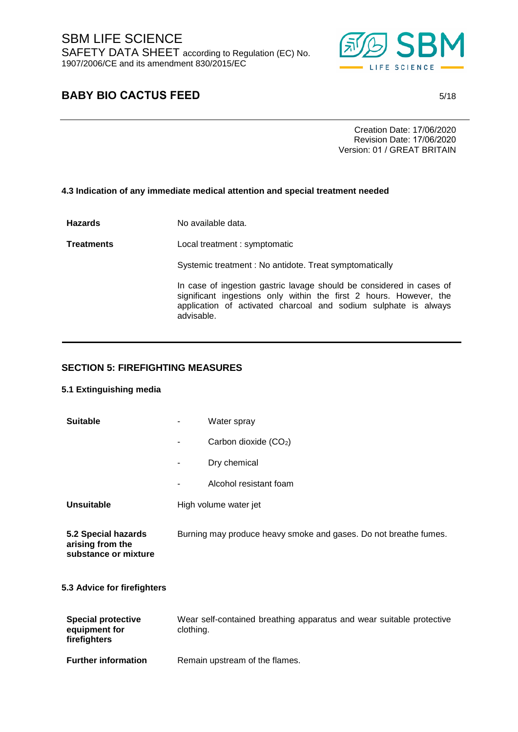

# **BABY BIO CACTUS FEED** 5/18

Creation Date: 17/06/2020 Revision Date: 17/06/2020 Version: 01 / GREAT BRITAIN

### **4.3 Indication of any immediate medical attention and special treatment needed**

**Hazards** No available data. **Treatments** Local treatment : symptomatic Systemic treatment : No antidote. Treat symptomatically In case of ingestion gastric lavage should be considered in cases of significant ingestions only within the first 2 hours. However, the application of activated charcoal and sodium sulphate is always advisable.

### **SECTION 5: FIREFIGHTING MEASURES**

### **5.1 Extinguishing media**

| <b>Suitable</b>                                                 | -         | Water spray                                                          |
|-----------------------------------------------------------------|-----------|----------------------------------------------------------------------|
|                                                                 |           | Carbon dioxide (CO <sub>2</sub> )                                    |
|                                                                 | ۰         | Dry chemical                                                         |
|                                                                 |           | Alcohol resistant foam                                               |
| <b>Unsuitable</b>                                               |           | High volume water jet                                                |
| 5.2 Special hazards<br>arising from the<br>substance or mixture |           | Burning may produce heavy smoke and gases. Do not breathe fumes.     |
| 5.3 Advice for firefighters                                     |           |                                                                      |
| <b>Special protective</b><br>equipment for<br>firefighters      | clothing. | Wear self-contained breathing apparatus and wear suitable protective |

**Further information** Remain upstream of the flames.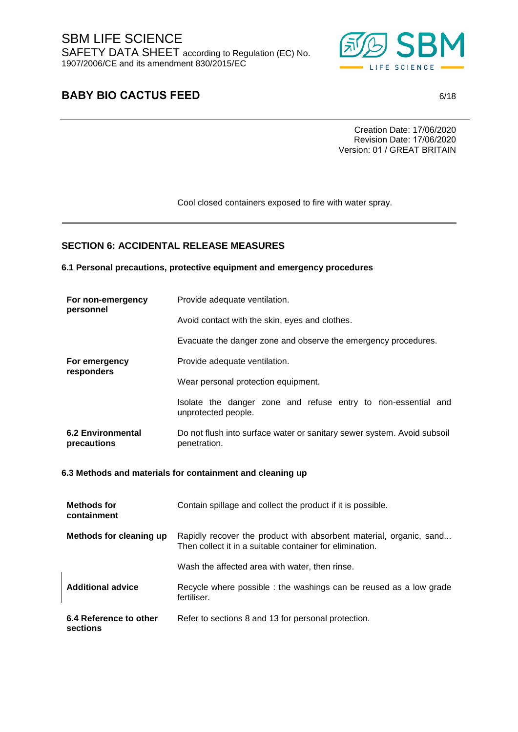

# **BABY BIO CACTUS FEED** 6/18

Creation Date: 17/06/2020 Revision Date: 17/06/2020 Version: 01 / GREAT BRITAIN

Cool closed containers exposed to fire with water spray.

## **SECTION 6: ACCIDENTAL RELEASE MEASURES**

**6.1 Personal precautions, protective equipment and emergency procedures** 

| For non-emergency<br>personnel          | Provide adequate ventilation.                                                                                                  |  |
|-----------------------------------------|--------------------------------------------------------------------------------------------------------------------------------|--|
|                                         | Avoid contact with the skin, eyes and clothes.                                                                                 |  |
|                                         | Evacuate the danger zone and observe the emergency procedures.                                                                 |  |
| For emergency                           | Provide adequate ventilation.                                                                                                  |  |
| responders                              | Wear personal protection equipment.                                                                                            |  |
|                                         | Isolate the danger zone and refuse entry to non-essential and<br>unprotected people.                                           |  |
| <b>6.2 Environmental</b><br>precautions | Do not flush into surface water or sanitary sewer system. Avoid subsoil<br>penetration.                                        |  |
|                                         |                                                                                                                                |  |
|                                         | 6.3 Methods and materials for containment and cleaning up                                                                      |  |
| <b>Methods for</b><br>containment       | Contain spillage and collect the product if it is possible.                                                                    |  |
| <b>Methods for cleaning up</b>          | Rapidly recover the product with absorbent material, organic, sand<br>Then collect it in a suitable container for elimination. |  |
|                                         | Wash the affected area with water, then rinse.                                                                                 |  |
| <b>Additional advice</b>                | Recycle where possible : the washings can be reused as a low grade<br>fertiliser.                                              |  |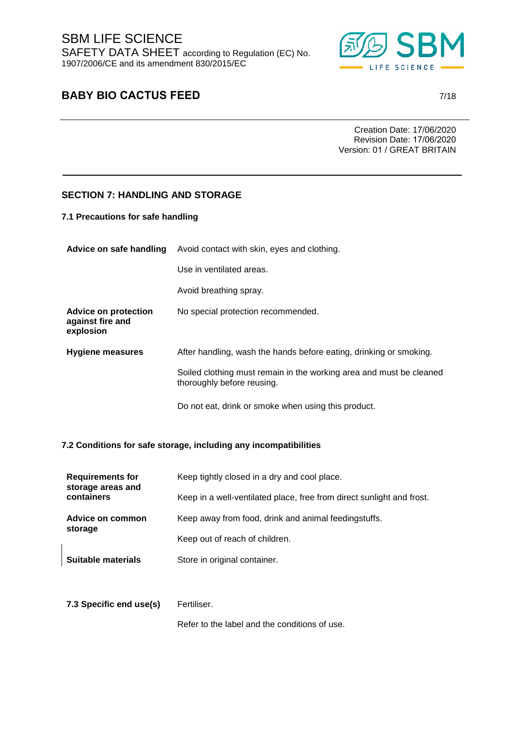

# **BABY BIO CACTUS FEED** 7/18

Creation Date: 17/06/2020 Revision Date: 17/06/2020 Version: 01 / GREAT BRITAIN

## **SECTION 7: HANDLING AND STORAGE**

**7.1 Precautions for safe handling** 

| Advice on safe handling                                      | Avoid contact with skin, eyes and clothing.                                                       |  |
|--------------------------------------------------------------|---------------------------------------------------------------------------------------------------|--|
|                                                              | Use in ventilated areas.                                                                          |  |
|                                                              | Avoid breathing spray.                                                                            |  |
| <b>Advice on protection</b><br>against fire and<br>explosion | No special protection recommended.                                                                |  |
| <b>Hygiene measures</b>                                      | After handling, wash the hands before eating, drinking or smoking.                                |  |
|                                                              | Soiled clothing must remain in the working area and must be cleaned<br>thoroughly before reusing. |  |
|                                                              | Do not eat, drink or smoke when using this product.                                               |  |

#### **7.2 Conditions for safe storage, including any incompatibilities**

| <b>Requirements for</b><br>storage areas and<br>containers | Keep tightly closed in a dry and cool place.                          |  |
|------------------------------------------------------------|-----------------------------------------------------------------------|--|
|                                                            | Keep in a well-ventilated place, free from direct sunlight and frost. |  |
| Advice on common<br>storage                                | Keep away from food, drink and animal feedingstuffs.                  |  |
|                                                            | Keep out of reach of children.                                        |  |
| Suitable materials                                         | Store in original container.                                          |  |
|                                                            |                                                                       |  |

**7.3 Specific end use(s)** Fertiliser.

Refer to the label and the conditions of use.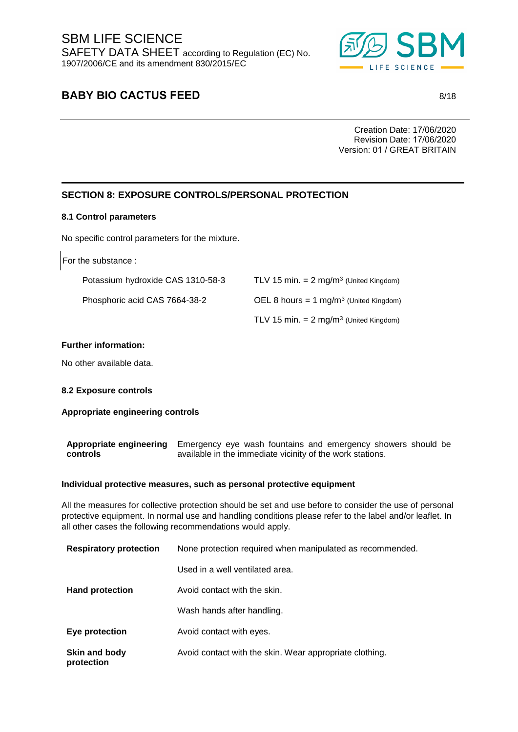

# **BABY BIO CACTUS FEED** 8/18

Creation Date: 17/06/2020 Revision Date: 17/06/2020 Version: 01 / GREAT BRITAIN

## **SECTION 8: EXPOSURE CONTROLS/PERSONAL PROTECTION**

#### **8.1 Control parameters**

No specific control parameters for the mixture.

For the substance :

| Potassium hydroxide CAS 1310-58-3 | TLV 15 min. $= 2$ mg/m <sup>3</sup> (United Kingdom) |
|-----------------------------------|------------------------------------------------------|
| Phosphoric acid CAS 7664-38-2     | OEL 8 hours = $1 \text{ mg/m}^3$ (United Kingdom)    |
|                                   | TLV 15 min. $= 2$ mg/m <sup>3</sup> (United Kingdom) |

#### **Further information:**

No other available data.

#### **8.2 Exposure controls**

#### **Appropriate engineering controls**

**Appropriate engineering** Emergency eye wash fountains and emergency showers should be **controls** available in the immediate vicinity of the work stations.

#### **Individual protective measures, such as personal protective equipment**

All the measures for collective protection should be set and use before to consider the use of personal protective equipment. In normal use and handling conditions please refer to the label and/or leaflet. In all other cases the following recommendations would apply.

| <b>Respiratory protection</b> | None protection required when manipulated as recommended. |
|-------------------------------|-----------------------------------------------------------|
|                               | Used in a well ventilated area.                           |
| <b>Hand protection</b>        | Avoid contact with the skin.                              |
|                               | Wash hands after handling.                                |
| Eye protection                | Avoid contact with eyes.                                  |
| Skin and body<br>protection   | Avoid contact with the skin. Wear appropriate clothing.   |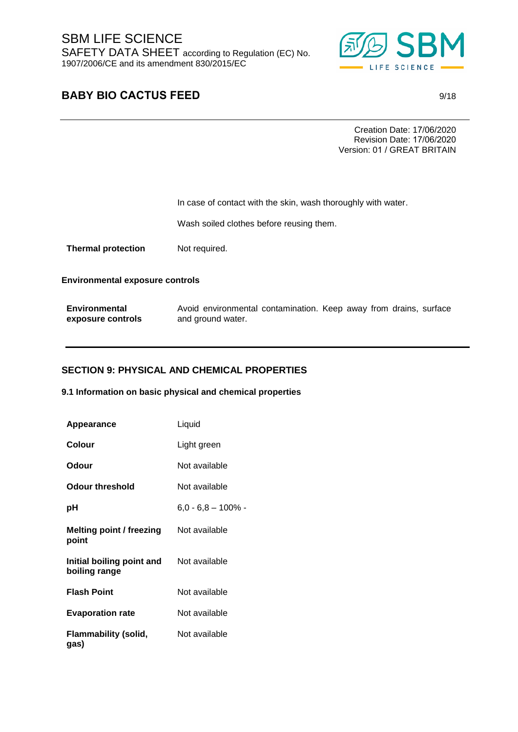

# **BABY BIO CACTUS FEED** 9/18

Creation Date: 17/06/2020 Revision Date: 17/06/2020 Version: 01 / GREAT BRITAIN

In case of contact with the skin, wash thoroughly with water.

Wash soiled clothes before reusing them.

**Thermal protection** Not required.

**Environmental exposure controls** 

| Environmental     | Avoid environmental contamination. Keep away from drains, surface |  |
|-------------------|-------------------------------------------------------------------|--|
| exposure controls | and ground water.                                                 |  |

### **SECTION 9: PHYSICAL AND CHEMICAL PROPERTIES**

**9.1 Information on basic physical and chemical properties**

| Appearance                                 | Liquid                |
|--------------------------------------------|-----------------------|
| <b>Colour</b>                              | Light green           |
| Odour                                      | Not available         |
| <b>Odour threshold</b>                     | Not available         |
| рH                                         | $6,0 - 6,8 - 100\%$ - |
| Melting point / freezing<br>point          | Not available         |
| Initial boiling point and<br>boiling range | Not available         |
| <b>Flash Point</b>                         | Not available         |
| <b>Evaporation rate</b>                    | Not available         |
| Flammability (solid,<br>gas)               | Not available         |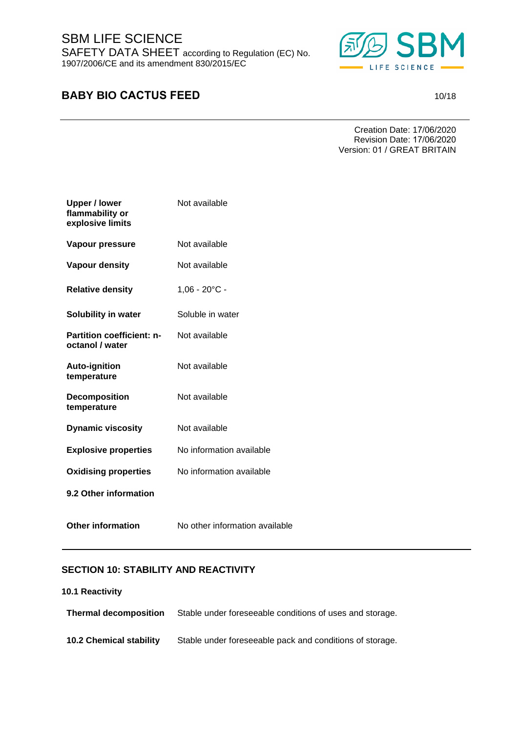SBM LIFE SCIENCE SAFETY DATA SHEET according to Regulation (EC) No. 1907/2006/CE and its amendment 830/2015/EC



# **BABY BIO CACTUS FEED** 10/18

Creation Date: 17/06/2020 Revision Date: 17/06/2020 Version: 01 / GREAT BRITAIN

| <b>Upper / lower</b><br>flammability or<br>explosive limits | Not available                  |
|-------------------------------------------------------------|--------------------------------|
| Vapour pressure                                             | Not available                  |
| <b>Vapour density</b>                                       | Not available                  |
| <b>Relative density</b>                                     | $1,06 - 20^{\circ}$ C -        |
| <b>Solubility in water</b>                                  | Soluble in water               |
| <b>Partition coefficient: n-</b><br>octanol / water         | Not available                  |
| <b>Auto-ignition</b><br>temperature                         | Not available                  |
| <b>Decomposition</b><br>temperature                         | Not available                  |
| <b>Dynamic viscosity</b>                                    | Not available                  |
| <b>Explosive properties</b>                                 | No information available       |
| <b>Oxidising properties</b>                                 | No information available       |
| 9.2 Other information                                       |                                |
| <b>Other information</b>                                    | No other information available |

## **SECTION 10: STABILITY AND REACTIVITY**

#### **10.1 Reactivity**

| <b>Thermal decomposition</b>   | Stable under foreseeable conditions of uses and storage. |
|--------------------------------|----------------------------------------------------------|
| <b>10.2 Chemical stability</b> | Stable under foreseeable pack and conditions of storage. |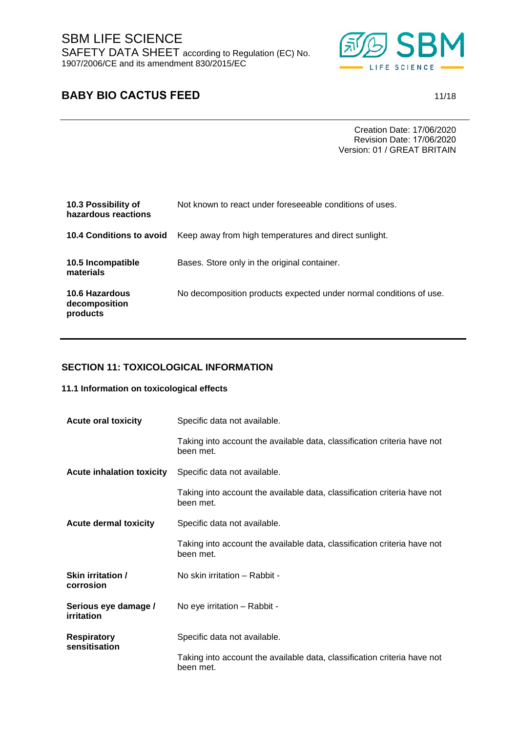

# **BABY BIO CACTUS FEED** 11/18

Creation Date: 17/06/2020 Revision Date: 17/06/2020 Version: 01 / GREAT BRITAIN

| 10.3 Possibility of<br>hazardous reactions  | Not known to react under foreseeable conditions of uses.           |
|---------------------------------------------|--------------------------------------------------------------------|
| <b>10.4 Conditions to avoid</b>             | Keep away from high temperatures and direct sunlight.              |
| 10.5 Incompatible<br>materials              | Bases. Store only in the original container.                       |
| 10.6 Hazardous<br>decomposition<br>products | No decomposition products expected under normal conditions of use. |

## **SECTION 11: TOXICOLOGICAL INFORMATION**

#### **11.1 Information on toxicological effects**

| <b>Acute oral toxicity</b>          | Specific data not available.                                                          |
|-------------------------------------|---------------------------------------------------------------------------------------|
|                                     | Taking into account the available data, classification criteria have not<br>been met. |
| <b>Acute inhalation toxicity</b>    | Specific data not available.                                                          |
|                                     | Taking into account the available data, classification criteria have not<br>been met. |
| <b>Acute dermal toxicity</b>        | Specific data not available.                                                          |
|                                     | Taking into account the available data, classification criteria have not<br>been met. |
| Skin irritation /<br>corrosion      | No skin irritation - Rabbit -                                                         |
| Serious eye damage /<br>irritation  | No eye irritation - Rabbit -                                                          |
| <b>Respiratory</b><br>sensitisation | Specific data not available.                                                          |
|                                     | Taking into account the available data, classification criteria have not<br>been met. |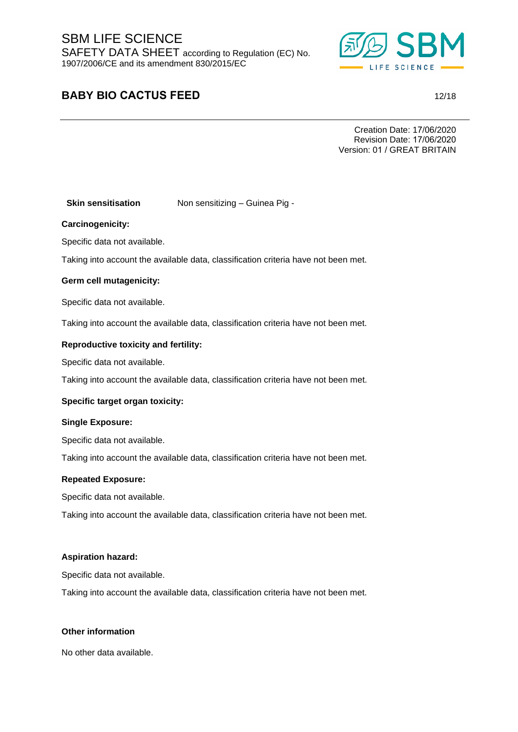SBM LIFE SCIENCE SAFETY DATA SHEET according to Regulation (EC) No. 1907/2006/CE and its amendment 830/2015/EC



# **BABY BIO CACTUS FEED** 12/18

Creation Date: 17/06/2020 Revision Date: 17/06/2020 Version: 01 / GREAT BRITAIN

### **Skin sensitisation** Non sensitizing – Guinea Pig -

#### **Carcinogenicity:**

Specific data not available.

Taking into account the available data, classification criteria have not been met.

#### **Germ cell mutagenicity:**

Specific data not available.

Taking into account the available data, classification criteria have not been met.

#### **Reproductive toxicity and fertility:**

Specific data not available.

Taking into account the available data, classification criteria have not been met.

#### **Specific target organ toxicity:**

#### **Single Exposure:**

Specific data not available.

Taking into account the available data, classification criteria have not been met.

#### **Repeated Exposure:**

Specific data not available.

Taking into account the available data, classification criteria have not been met.

#### **Aspiration hazard:**

Specific data not available.

Taking into account the available data, classification criteria have not been met.

#### **Other information**

No other data available.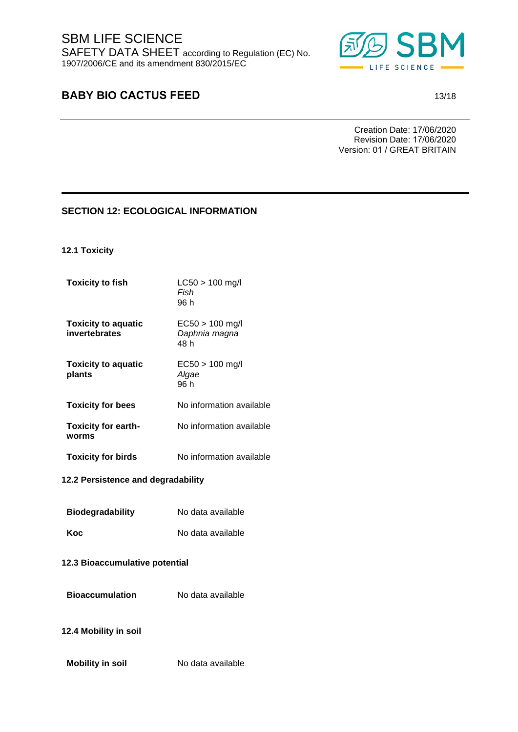

# **BABY BIO CACTUS FEED** 13/18

Creation Date: 17/06/2020 Revision Date: 17/06/2020 Version: 01 / GREAT BRITAIN

### **SECTION 12: ECOLOGICAL INFORMATION**

**12.1 Toxicity**

| <b>Toxicity to fish</b>                     | $LC50 > 100$ mg/l<br>Fish<br>96 h          |
|---------------------------------------------|--------------------------------------------|
| <b>Toxicity to aquatic</b><br>invertebrates | $EC50 > 100$ mg/l<br>Daphnia magna<br>48 h |
| <b>Toxicity to aquatic</b><br>plants        | $EC50 > 100$ mg/l<br>Algae<br>96 h         |
| <b>Toxicity for bees</b>                    | No information available                   |
| <b>Toxicity for earth-</b><br>worms         | No information available                   |
| <b>Toxicity for birds</b>                   | No information available                   |

#### **12.2 Persistence and degradability**

| <b>Biodegradability</b> | No data available |
|-------------------------|-------------------|
| Koc                     | No data available |

### **12.3 Bioaccumulative potential**

**Bioaccumulation** No data available

### **12.4 Mobility in soil**

**Mobility in soil** No data available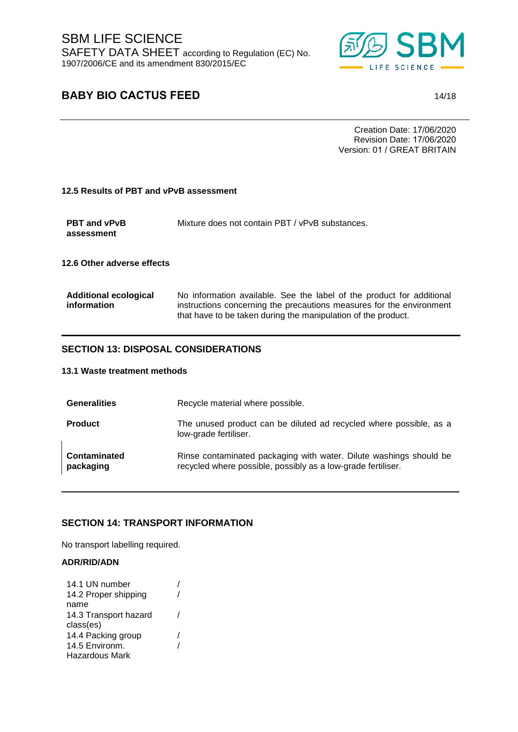

# **BABY BIO CACTUS FEED** 14/18

Creation Date: 17/06/2020 Revision Date: 17/06/2020 Version: 01 / GREAT BRITAIN

#### **12.5 Results of PBT and vPvB assessment**

| <b>PBT and vPvB</b> | Mixture does not contain PBT / vPvB substances. |
|---------------------|-------------------------------------------------|
| assessment          |                                                 |

**12.6 Other adverse effects**

| <b>Additional ecological</b> | No information available. See the label of the product for additional |
|------------------------------|-----------------------------------------------------------------------|
| information                  | instructions concerning the precautions measures for the environment  |
|                              | that have to be taken during the manipulation of the product.         |

### **SECTION 13: DISPOSAL CONSIDERATIONS**

#### **13.1 Waste treatment methods**

| <b>Generalities</b>              | Recycle material where possible.                                                                                                   |
|----------------------------------|------------------------------------------------------------------------------------------------------------------------------------|
| <b>Product</b>                   | The unused product can be diluted ad recycled where possible, as a<br>low-grade fertiliser.                                        |
| <b>Contaminated</b><br>packaging | Rinse contaminated packaging with water. Dilute washings should be<br>recycled where possible, possibly as a low-grade fertiliser. |

#### **SECTION 14: TRANSPORT INFORMATION**

No transport labelling required.

#### **ADR/RID/ADN**

| 14.1 UN number        |  |
|-----------------------|--|
| 14.2 Proper shipping  |  |
| name                  |  |
| 14.3 Transport hazard |  |
| class(es)             |  |
| 14.4 Packing group    |  |
| 14.5 Environm.        |  |
| Hazardous Mark        |  |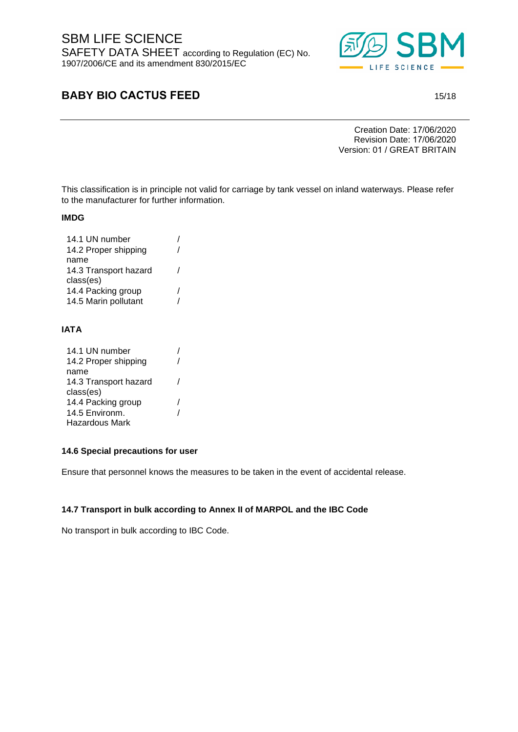

# **BABY BIO CACTUS FEED** 15/18

Creation Date: 17/06/2020 Revision Date: 17/06/2020 Version: 01 / GREAT BRITAIN

This classification is in principle not valid for carriage by tank vessel on inland waterways. Please refer to the manufacturer for further information.

#### **IMDG**

| 14.1 UN number        |  |
|-----------------------|--|
| 14.2 Proper shipping  |  |
| name                  |  |
| 14.3 Transport hazard |  |
| class(es)             |  |
| 14.4 Packing group    |  |
| 14.5 Marin pollutant  |  |
|                       |  |

### **IATA**

| 14.1 UN number        |  |
|-----------------------|--|
| 14.2 Proper shipping  |  |
| name                  |  |
| 14.3 Transport hazard |  |
| class(es)             |  |
| 14.4 Packing group    |  |
| 14.5 Environm.        |  |
| Hazardous Mark        |  |

### **14.6 Special precautions for user**

Ensure that personnel knows the measures to be taken in the event of accidental release.

#### **14.7 Transport in bulk according to Annex II of MARPOL and the IBC Code**

No transport in bulk according to IBC Code.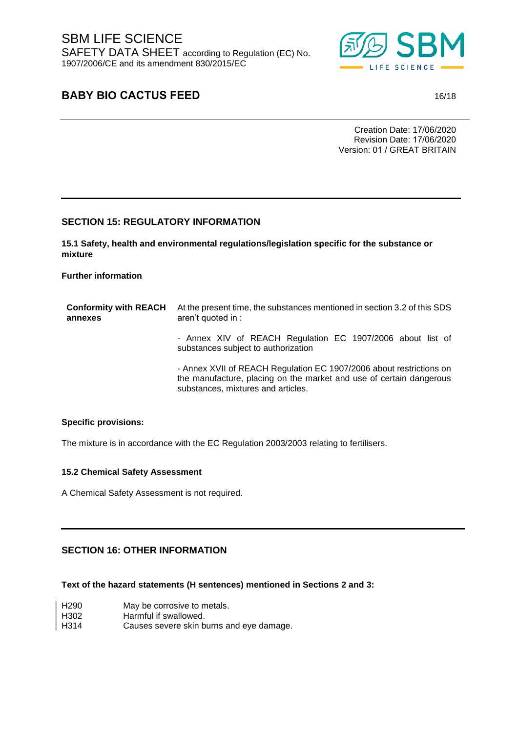

# **BABY BIO CACTUS FEED** 16/18

Creation Date: 17/06/2020 Revision Date: 17/06/2020 Version: 01 / GREAT BRITAIN

### **SECTION 15: REGULATORY INFORMATION**

**15.1 Safety, health and environmental regulations/legislation specific for the substance or mixture** 

#### **Further information**

| <b>Conformity with REACH</b><br>annexes | At the present time, the substances mentioned in section 3.2 of this SDS<br>aren't quoted in :                                                                                   |  |
|-----------------------------------------|----------------------------------------------------------------------------------------------------------------------------------------------------------------------------------|--|
|                                         | - Annex XIV of REACH Regulation EC 1907/2006 about list of<br>substances subject to authorization                                                                                |  |
|                                         | - Annex XVII of REACH Regulation EC 1907/2006 about restrictions on<br>the manufacture, placing on the market and use of certain dangerous<br>substances, mixtures and articles. |  |

#### **Specific provisions:**

The mixture is in accordance with the EC Regulation 2003/2003 relating to fertilisers.

### **15.2 Chemical Safety Assessment**

A Chemical Safety Assessment is not required.

### **SECTION 16: OTHER INFORMATION**

**Text of the hazard statements (H sentences) mentioned in Sections 2 and 3:**

| H <sub>290</sub> | May be corrosive to metals.              |
|------------------|------------------------------------------|
| H302             | Harmful if swallowed.                    |
| H314             | Causes severe skin burns and eye damage. |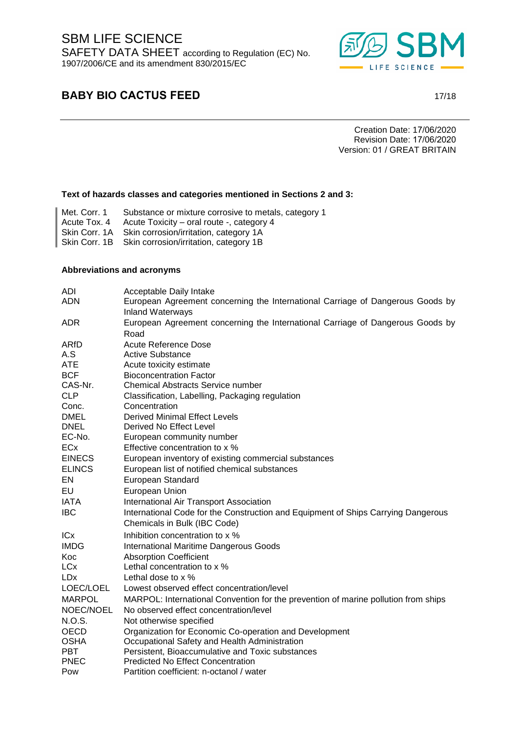SBM LIFE SCIENCE SAFETY DATA SHEET according to Regulation (EC) No. 1907/2006/CE and its amendment 830/2015/EC



# **BABY BIO CACTUS FEED** 17/18

Creation Date: 17/06/2020 Revision Date: 17/06/2020 Version: 01 / GREAT BRITAIN

#### **Text of hazards classes and categories mentioned in Sections 2 and 3:**

- Met. Corr. 1 Substance or mixture corrosive to metals, category 1
- Acute Tox. 4 Acute Toxicity oral route -, category 4
- Skin Corr. 1A Skin corrosion/irritation, category 1A
- Skin Corr. 1B Skin corrosion/irritation, category 1B

#### **Abbreviations and acronyms**

| ADI                   | Acceptable Daily Intake                                                                                   |
|-----------------------|-----------------------------------------------------------------------------------------------------------|
| <b>ADN</b>            | European Agreement concerning the International Carriage of Dangerous Goods by<br><b>Inland Waterways</b> |
| <b>ADR</b>            | European Agreement concerning the International Carriage of Dangerous Goods by                            |
|                       | Road                                                                                                      |
| ARfD                  | Acute Reference Dose                                                                                      |
| A.S                   | <b>Active Substance</b>                                                                                   |
| ATE                   | Acute toxicity estimate                                                                                   |
| <b>BCF</b>            | <b>Bioconcentration Factor</b>                                                                            |
| CAS-Nr.               | <b>Chemical Abstracts Service number</b>                                                                  |
| <b>CLP</b>            | Classification, Labelling, Packaging regulation                                                           |
| Conc.                 | Concentration                                                                                             |
| <b>DMEL</b>           | <b>Derived Minimal Effect Levels</b>                                                                      |
| <b>DNEL</b><br>EC-No. | Derived No Effect Level<br>European community number                                                      |
| <b>ECx</b>            | Effective concentration to x %                                                                            |
| <b>EINECS</b>         |                                                                                                           |
|                       | European inventory of existing commercial substances                                                      |
| <b>ELINCS</b>         | European list of notified chemical substances                                                             |
| EN                    | European Standard                                                                                         |
| EU                    | European Union                                                                                            |
| <b>IATA</b>           | International Air Transport Association                                                                   |
| <b>IBC</b>            | International Code for the Construction and Equipment of Ships Carrying Dangerous                         |
|                       | Chemicals in Bulk (IBC Code)                                                                              |
| <b>ICx</b>            | Inhibition concentration to x %                                                                           |
| <b>IMDG</b>           | <b>International Maritime Dangerous Goods</b>                                                             |
| Koc                   | <b>Absorption Coefficient</b>                                                                             |
| <b>LCx</b>            | Lethal concentration to x %                                                                               |
| <b>LDx</b>            | Lethal dose to x %                                                                                        |
| LOEC/LOEL             | Lowest observed effect concentration/level                                                                |
| <b>MARPOL</b>         | MARPOL: International Convention for the prevention of marine pollution from ships                        |
| NOEC/NOEL             | No observed effect concentration/level                                                                    |
| N.O.S.                | Not otherwise specified                                                                                   |
| <b>OECD</b>           | Organization for Economic Co-operation and Development                                                    |
| <b>OSHA</b>           | Occupational Safety and Health Administration                                                             |
| <b>PBT</b>            | Persistent, Bioaccumulative and Toxic substances                                                          |
| <b>PNEC</b>           | <b>Predicted No Effect Concentration</b>                                                                  |
| Pow                   | Partition coefficient: n-octanol / water                                                                  |